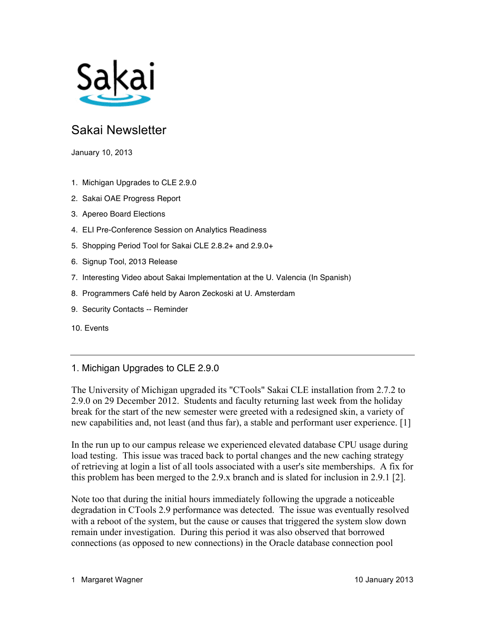

# Sakai Newsletter

January 10, 2013

- 1. Michigan Upgrades to CLE 2.9.0
- 2. Sakai OAE Progress Report
- 3. Apereo Board Elections
- 4. ELI Pre-Conference Session on Analytics Readiness
- 5. Shopping Period Tool for Sakai CLE 2.8.2+ and 2.9.0+
- 6. Signup Tool, 2013 Release
- 7. Interesting Video about Sakai Implementation at the U. Valencia (In Spanish)
- 8. Programmers Café held by Aaron Zeckoski at U. Amsterdam
- 9. Security Contacts -- Reminder
- 10. Events

## 1. Michigan Upgrades to CLE 2.9.0

The University of Michigan upgraded its "CTools" Sakai CLE installation from 2.7.2 to 2.9.0 on 29 December 2012. Students and faculty returning last week from the holiday break for the start of the new semester were greeted with a redesigned skin, a variety of new capabilities and, not least (and thus far), a stable and performant user experience. [1]

In the run up to our campus release we experienced elevated database CPU usage during load testing. This issue was traced back to portal changes and the new caching strategy of retrieving at login a list of all tools associated with a user's site memberships. A fix for this problem has been merged to the 2.9.x branch and is slated for inclusion in 2.9.1 [2].

Note too that during the initial hours immediately following the upgrade a noticeable degradation in CTools 2.9 performance was detected. The issue was eventually resolved with a reboot of the system, but the cause or causes that triggered the system slow down remain under investigation. During this period it was also observed that borrowed connections (as opposed to new connections) in the Oracle database connection pool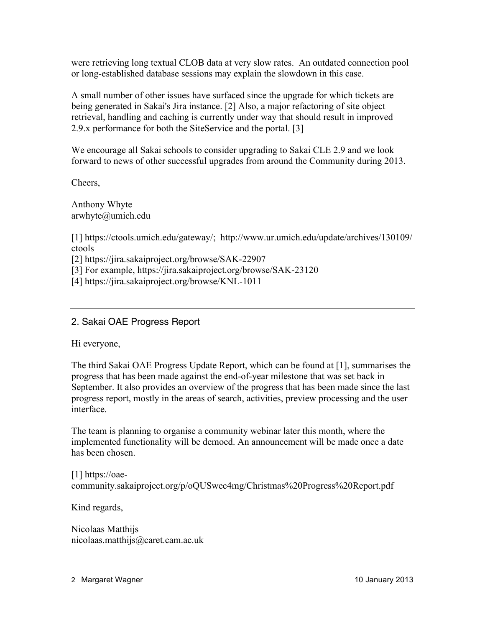were retrieving long textual CLOB data at very slow rates. An outdated connection pool or long-established database sessions may explain the slowdown in this case.

A small number of other issues have surfaced since the upgrade for which tickets are being generated in Sakai's Jira instance. [2] Also, a major refactoring of site object retrieval, handling and caching is currently under way that should result in improved 2.9.x performance for both the SiteService and the portal. [3]

We encourage all Sakai schools to consider upgrading to Sakai CLE 2.9 and we look forward to news of other successful upgrades from around the Community during 2013.

Cheers,

Anthony Whyte arwhyte@umich.edu

[1] https://ctools.umich.edu/gateway/; http://www.ur.umich.edu/update/archives/130109/ ctools

[2] https://jira.sakaiproject.org/browse/SAK-22907

[3] For example, https://jira.sakaiproject.org/browse/SAK-23120

[4] https://jira.sakaiproject.org/browse/KNL-1011

## 2. Sakai OAE Progress Report

Hi everyone,

The third Sakai OAE Progress Update Report, which can be found at [1], summarises the progress that has been made against the end-of-year milestone that was set back in September. It also provides an overview of the progress that has been made since the last progress report, mostly in the areas of search, activities, preview processing and the user interface.

The team is planning to organise a community webinar later this month, where the implemented functionality will be demoed. An announcement will be made once a date has been chosen.

[1] https://oaecommunity.sakaiproject.org/p/oQUSwec4mg/Christmas%20Progress%20Report.pdf

Kind regards,

Nicolaas Matthijs nicolaas.matthijs@caret.cam.ac.uk

2 Margaret Wagner 10 January 2013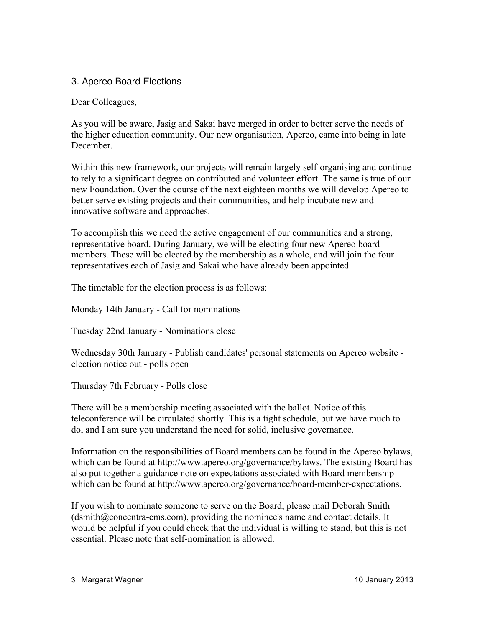# 3. Apereo Board Elections

Dear Colleagues,

As you will be aware, Jasig and Sakai have merged in order to better serve the needs of the higher education community. Our new organisation, Apereo, came into being in late **December** 

Within this new framework, our projects will remain largely self-organising and continue to rely to a significant degree on contributed and volunteer effort. The same is true of our new Foundation. Over the course of the next eighteen months we will develop Apereo to better serve existing projects and their communities, and help incubate new and innovative software and approaches.

To accomplish this we need the active engagement of our communities and a strong, representative board. During January, we will be electing four new Apereo board members. These will be elected by the membership as a whole, and will join the four representatives each of Jasig and Sakai who have already been appointed.

The timetable for the election process is as follows:

Monday 14th January - Call for nominations

Tuesday 22nd January - Nominations close

Wednesday 30th January - Publish candidates' personal statements on Apereo website election notice out - polls open

Thursday 7th February - Polls close

There will be a membership meeting associated with the ballot. Notice of this teleconference will be circulated shortly. This is a tight schedule, but we have much to do, and I am sure you understand the need for solid, inclusive governance.

Information on the responsibilities of Board members can be found in the Apereo bylaws, which can be found at http://www.apereo.org/governance/bylaws. The existing Board has also put together a guidance note on expectations associated with Board membership which can be found at http://www.apereo.org/governance/board-member-expectations.

If you wish to nominate someone to serve on the Board, please mail Deborah Smith (dsmith@concentra-cms.com), providing the nominee's name and contact details. It would be helpful if you could check that the individual is willing to stand, but this is not essential. Please note that self-nomination is allowed.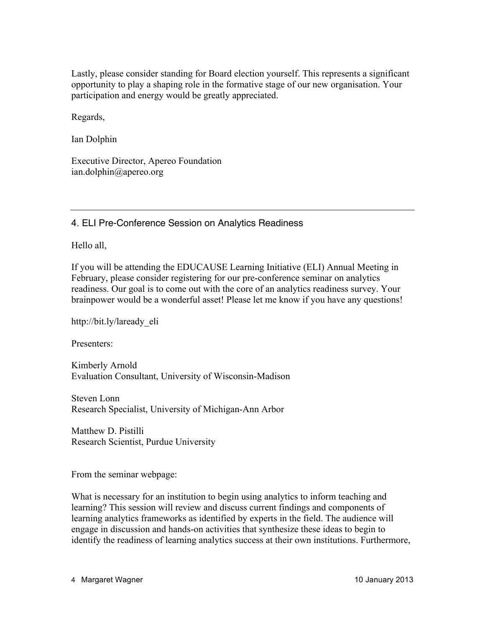Lastly, please consider standing for Board election yourself. This represents a significant opportunity to play a shaping role in the formative stage of our new organisation. Your participation and energy would be greatly appreciated.

Regards,

Ian Dolphin

Executive Director, Apereo Foundation ian.dolphin@apereo.org

4. ELI Pre-Conference Session on Analytics Readiness

Hello all,

If you will be attending the EDUCAUSE Learning Initiative (ELI) Annual Meeting in February, please consider registering for our pre-conference seminar on analytics readiness. Our goal is to come out with the core of an analytics readiness survey. Your brainpower would be a wonderful asset! Please let me know if you have any questions!

http://bit.ly/laready\_eli

Presenters:

Kimberly Arnold Evaluation Consultant, University of Wisconsin-Madison

Steven Lonn Research Specialist, University of Michigan-Ann Arbor

Matthew D. Pistilli Research Scientist, Purdue University

From the seminar webpage:

What is necessary for an institution to begin using analytics to inform teaching and learning? This session will review and discuss current findings and components of learning analytics frameworks as identified by experts in the field. The audience will engage in discussion and hands-on activities that synthesize these ideas to begin to identify the readiness of learning analytics success at their own institutions. Furthermore,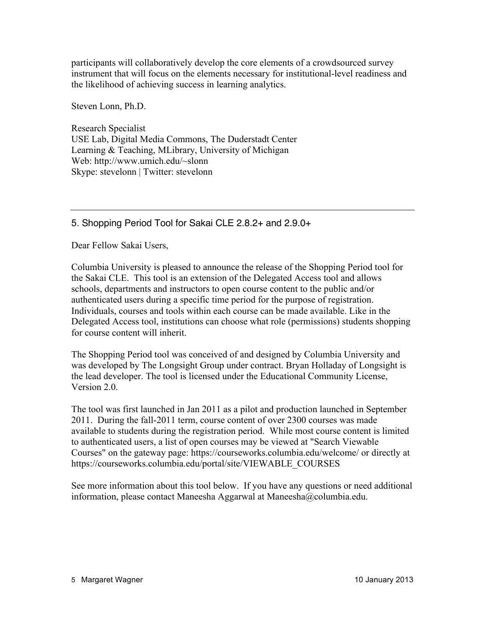participants will collaboratively develop the core elements of a crowdsourced survey instrument that will focus on the elements necessary for institutional-level readiness and the likelihood of achieving success in learning analytics.

Steven Lonn, Ph.D.

Research Specialist USE Lab, Digital Media Commons, The Duderstadt Center Learning & Teaching, MLibrary, University of Michigan Web: http://www.umich.edu/~slonn Skype: stevelonn | Twitter: stevelonn

# 5. Shopping Period Tool for Sakai CLE 2.8.2+ and 2.9.0+

Dear Fellow Sakai Users,

Columbia University is pleased to announce the release of the Shopping Period tool for the Sakai CLE. This tool is an extension of the Delegated Access tool and allows schools, departments and instructors to open course content to the public and/or authenticated users during a specific time period for the purpose of registration. Individuals, courses and tools within each course can be made available. Like in the Delegated Access tool, institutions can choose what role (permissions) students shopping for course content will inherit.

The Shopping Period tool was conceived of and designed by Columbia University and was developed by The Longsight Group under contract. Bryan Holladay of Longsight is the lead developer. The tool is licensed under the Educational Community License, Version 2.0.

The tool was first launched in Jan 2011 as a pilot and production launched in September 2011. During the fall-2011 term, course content of over 2300 courses was made available to students during the registration period. While most course content is limited to authenticated users, a list of open courses may be viewed at "Search Viewable Courses" on the gateway page: https://courseworks.columbia.edu/welcome/ or directly at https://courseworks.columbia.edu/portal/site/VIEWABLE\_COURSES

See more information about this tool below. If you have any questions or need additional information, please contact Maneesha Aggarwal at Maneesha@columbia.edu.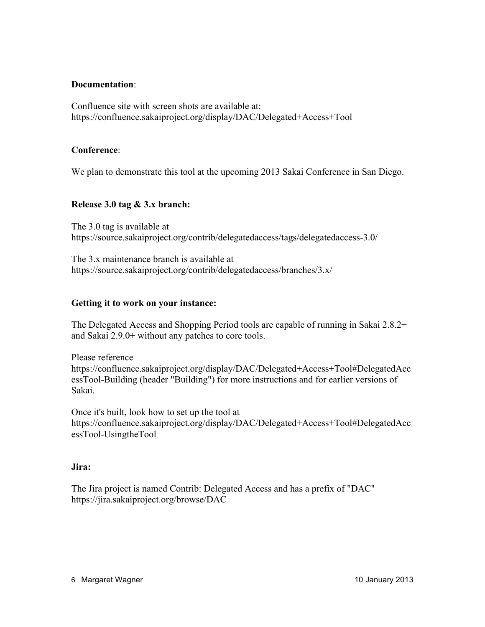#### **Documentation**:

Confluence site with screen shots are available at: https://confluence.sakaiproject.org/display/DAC/Delegated+Access+Tool

#### **Conference**:

We plan to demonstrate this tool at the upcoming 2013 Sakai Conference in San Diego.

#### **Release 3.0 tag & 3.x branch:**

The 3.0 tag is available at https://source.sakaiproject.org/contrib/delegatedaccess/tags/delegatedaccess-3.0/

The 3.x maintenance branch is available at https://source.sakaiproject.org/contrib/delegatedaccess/branches/3.x/

#### **Getting it to work on your instance:**

The Delegated Access and Shopping Period tools are capable of running in Sakai 2.8.2+ and Sakai 2.9.0+ without any patches to core tools.

Please reference https://confluence.sakaiproject.org/display/DAC/Delegated+Access+Tool#DelegatedAcc essTool-Building (header "Building") for more instructions and for earlier versions of Sakai.

Once it's built, look how to set up the tool at https://confluence.sakaiproject.org/display/DAC/Delegated+Access+Tool#DelegatedAcc essTool-UsingtheTool

#### **Jira:**

The Jira project is named Contrib: Delegated Access and has a prefix of "DAC" https://jira.sakaiproject.org/browse/DAC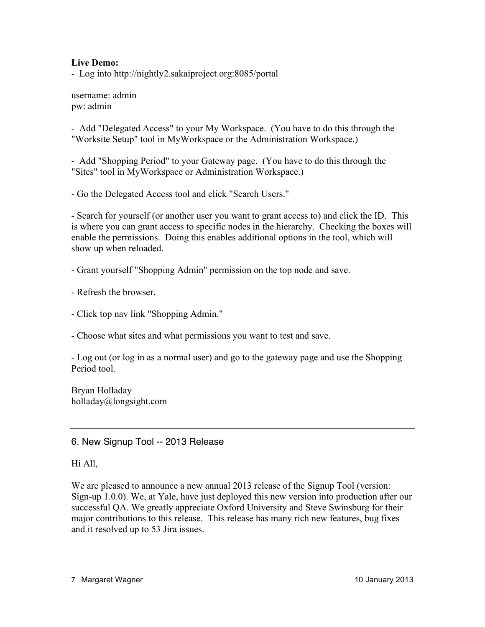#### **Live Demo:**

- Log into http://nightly2.sakaiproject.org:8085/portal

username: admin pw: admin

- Add "Delegated Access" to your My Workspace. (You have to do this through the "Worksite Setup" tool in MyWorkspace or the Administration Workspace.)

- Add "Shopping Period" to your Gateway page. (You have to do this through the "Sites" tool in MyWorkspace or Administration Workspace.)

- Go the Delegated Access tool and click "Search Users."

- Search for yourself (or another user you want to grant access to) and click the ID. This is where you can grant access to specific nodes in the hierarchy. Checking the boxes will enable the permissions. Doing this enables additional options in the tool, which will show up when reloaded.

- Grant yourself "Shopping Admin" permission on the top node and save.

- Refresh the browser.

- Click top nav link "Shopping Admin."

- Choose what sites and what permissions you want to test and save.

- Log out (or log in as a normal user) and go to the gateway page and use the Shopping Period tool.

Bryan Holladay holladay@longsight.com

6. New Signup Tool -- 2013 Release

#### Hi All,

We are pleased to announce a new annual 2013 release of the Signup Tool (version: Sign-up 1.0.0). We, at Yale, have just deployed this new version into production after our successful QA. We greatly appreciate Oxford University and Steve Swinsburg for their major contributions to this release. This release has many rich new features, bug fixes and it resolved up to 53 Jira issues.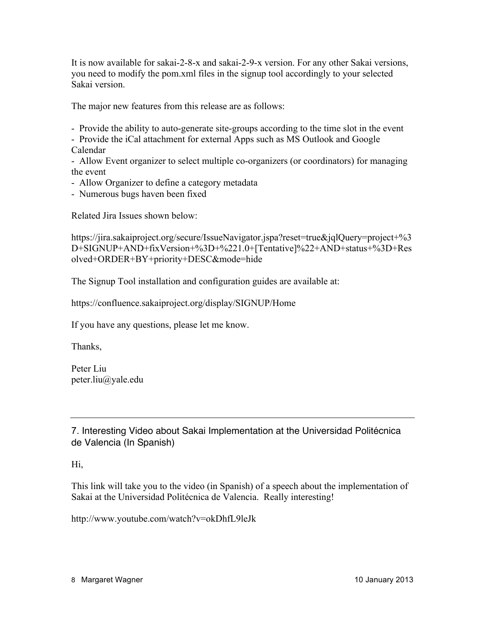It is now available for sakai-2-8-x and sakai-2-9-x version. For any other Sakai versions, you need to modify the pom.xml files in the signup tool accordingly to your selected Sakai version.

The major new features from this release are as follows:

- Provide the ability to auto-generate site-groups according to the time slot in the event

- Provide the iCal attachment for external Apps such as MS Outlook and Google Calendar

- Allow Event organizer to select multiple co-organizers (or coordinators) for managing the event

- Allow Organizer to define a category metadata

- Numerous bugs haven been fixed

Related Jira Issues shown below:

https://jira.sakaiproject.org/secure/IssueNavigator.jspa?reset=true&jqlQuery=project+%3 D+SIGNUP+AND+fixVersion+%3D+%221.0+[Tentative]%22+AND+status+%3D+Res olved+ORDER+BY+priority+DESC&mode=hide

The Signup Tool installation and configuration guides are available at:

https://confluence.sakaiproject.org/display/SIGNUP/Home

If you have any questions, please let me know.

Thanks,

Peter Liu peter.liu@yale.edu

7. Interesting Video about Sakai Implementation at the Universidad Politécnica de Valencia (In Spanish)

Hi,

This link will take you to the video (in Spanish) of a speech about the implementation of Sakai at the Universidad Politécnica de Valencia. Really interesting!

http://www.youtube.com/watch?v=okDhfL9leJk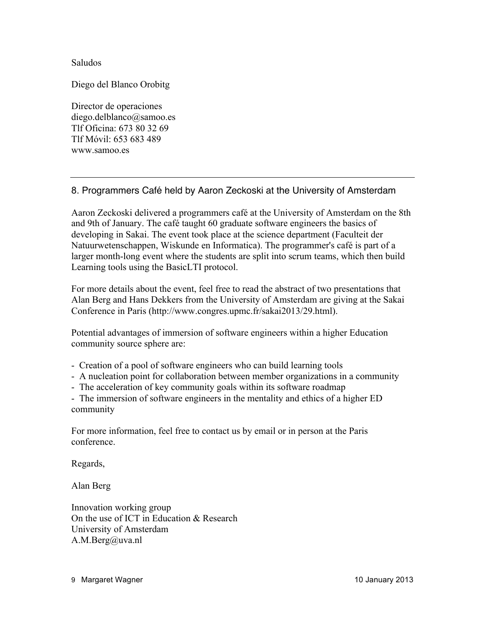Saludos

Diego del Blanco Orobitg

Director de operaciones diego.delblanco@samoo.es Tlf Oficina: 673 80 32 69 Tlf Móvil: 653 683 489 www.samoo.es

# 8. Programmers Café held by Aaron Zeckoski at the University of Amsterdam

Aaron Zeckoski delivered a programmers café at the University of Amsterdam on the 8th and 9th of January. The café taught 60 graduate software engineers the basics of developing in Sakai. The event took place at the science department (Faculteit der Natuurwetenschappen, Wiskunde en Informatica). The programmer's café is part of a larger month-long event where the students are split into scrum teams, which then build Learning tools using the BasicLTI protocol.

For more details about the event, feel free to read the abstract of two presentations that Alan Berg and Hans Dekkers from the University of Amsterdam are giving at the Sakai Conference in Paris (http://www.congres.upmc.fr/sakai2013/29.html).

Potential advantages of immersion of software engineers within a higher Education community source sphere are:

- Creation of a pool of software engineers who can build learning tools

- A nucleation point for collaboration between member organizations in a community

- The acceleration of key community goals within its software roadmap

- The immersion of software engineers in the mentality and ethics of a higher ED community

For more information, feel free to contact us by email or in person at the Paris conference.

Regards,

Alan Berg

Innovation working group On the use of ICT in Education & Research University of Amsterdam A.M.Berg@uva.nl